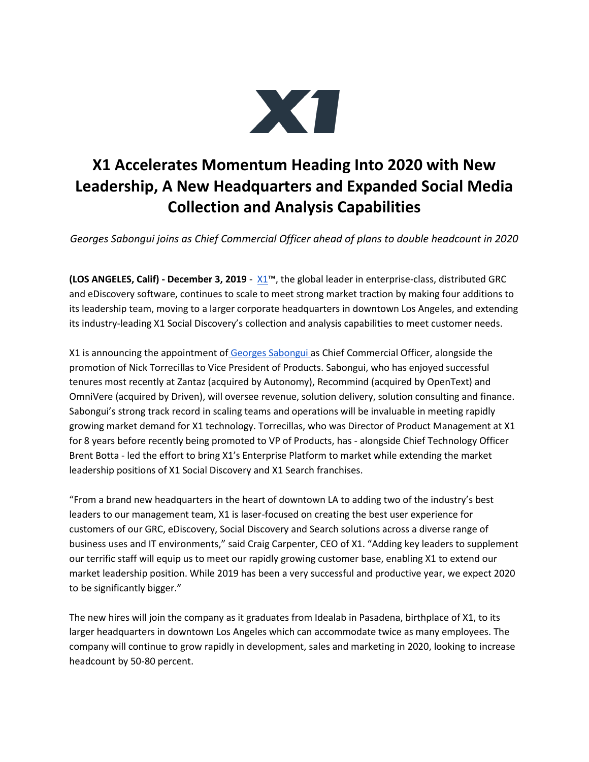

## **X1 Accelerates Momentum Heading Into 2020 with New Leadership, A New Headquarters and Expanded Social Media Collection and Analysis Capabilities**

*Georges Sabongui joins as Chief Commercial Officer ahead of plans to double headcount in 2020*

**(LOS ANGELES, Calif) - December 3, 2019** - [X1](http://www.x1.com/)™, the global leader in enterprise-class, distributed GRC and eDiscovery software, continues to scale to meet strong market traction by making four additions to its leadership team, moving to a larger corporate headquarters in downtown Los Angeles, and extending its industry-leading X1 Social Discovery's collection and analysis capabilities to meet customer needs.

X1 is announcing the appointment of [Georges Sabongui a](https://www.linkedin.com/in/georges-sabongui-77b541/)s Chief Commercial Officer, alongside the promotion of Nick Torrecillas to Vice President of Products. Sabongui, who has enjoyed successful tenures most recently at Zantaz (acquired by Autonomy), Recommind (acquired by OpenText) and OmniVere (acquired by Driven), will oversee revenue, solution delivery, solution consulting and finance. Sabongui's strong track record in scaling teams and operations will be invaluable in meeting rapidly growing market demand for X1 technology. Torrecillas, who was Director of Product Management at X1 for 8 years before recently being promoted to VP of Products, has - alongside Chief Technology Officer Brent Botta - led the effort to bring X1's Enterprise Platform to market while extending the market leadership positions of X1 Social Discovery and X1 Search franchises.

"From a brand new headquarters in the heart of downtown LA to adding two of the industry's best leaders to our management team, X1 is laser-focused on creating the best user experience for customers of our GRC, eDiscovery, Social Discovery and Search solutions across a diverse range of business uses and IT environments," said Craig Carpenter, CEO of X1. "Adding key leaders to supplement our terrific staff will equip us to meet our rapidly growing customer base, enabling X1 to extend our market leadership position. While 2019 has been a very successful and productive year, we expect 2020 to be significantly bigger."

The new hires will join the company as it graduates from Idealab in Pasadena, birthplace of X1, to its larger headquarters in downtown Los Angeles which can accommodate twice as many employees. The company will continue to grow rapidly in development, sales and marketing in 2020, looking to increase headcount by 50-80 percent.